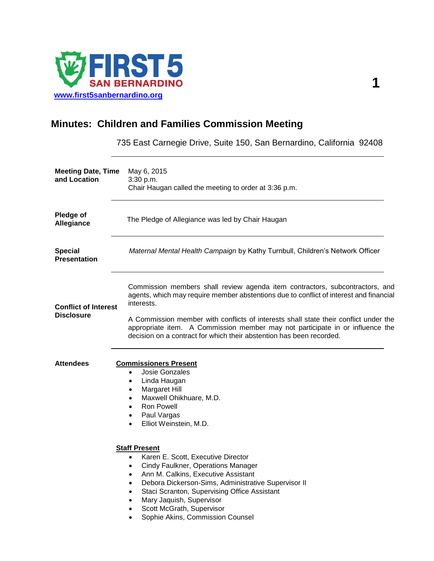

# **Minutes: Children and Families Commission Meeting**

735 East Carnegie Drive, Suite 150, San Bernardino, California 92408

| <b>Meeting Date, Time</b><br>and Location        | May 6, 2015<br>3:30 p.m.<br>Chair Haugan called the meeting to order at 3:36 p.m.                                                                                                                                                                                                                                                                                                                                                     |
|--------------------------------------------------|---------------------------------------------------------------------------------------------------------------------------------------------------------------------------------------------------------------------------------------------------------------------------------------------------------------------------------------------------------------------------------------------------------------------------------------|
| Pledge of<br>Allegiance                          | The Pledge of Allegiance was led by Chair Haugan                                                                                                                                                                                                                                                                                                                                                                                      |
| <b>Special</b><br><b>Presentation</b>            | Maternal Mental Health Campaign by Kathy Turnbull, Children's Network Officer                                                                                                                                                                                                                                                                                                                                                         |
| <b>Conflict of Interest</b><br><b>Disclosure</b> | Commission members shall review agenda item contractors, subcontractors, and<br>agents, which may require member abstentions due to conflict of interest and financial<br>interests.<br>A Commission member with conflicts of interests shall state their conflict under the<br>appropriate item. A Commission member may not participate in or influence the<br>decision on a contract for which their abstention has been recorded. |
| <b>Attendees</b>                                 | <b>Commissioners Present</b><br>Josie Gonzales<br>$\bullet$<br>Linda Haugan<br>$\bullet$<br>Margaret Hill<br>$\bullet$<br>Maxwell Ohikhuare, M.D.<br>$\bullet$<br><b>Ron Powell</b><br>$\bullet$<br>Paul Vargas<br>$\bullet$<br>Elliot Weinstein, M.D.<br>$\bullet$<br><b>Staff Present</b><br>Karen E. Scott, Executive Director<br>$\bullet$                                                                                        |
|                                                  | Cindy Faulkner, Operations Manager<br>٠<br>Ann M. Calkins, Executive Assistant<br>$\bullet$<br>Debora Dickerson-Sims, Administrative Supervisor II<br>$\bullet$<br>Staci Scranton, Supervising Office Assistant<br>Mary Jaquish, Supervisor<br>Scott McGrath, Supervisor<br>Sophie Akins, Commission Counsel                                                                                                                          |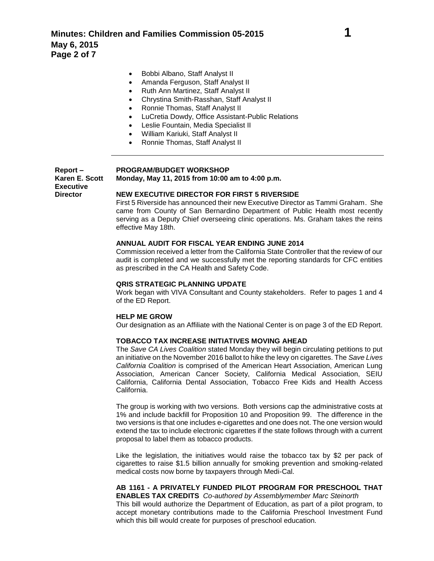- Bobbi Albano, Staff Analyst II
- Amanda Ferguson, Staff Analyst II
- Ruth Ann Martinez, Staff Analyst II
- Chrystina Smith-Rasshan, Staff Analyst II
- Ronnie Thomas, Staff Analyst II
- LuCretia Dowdy, Office Assistant-Public Relations
- Leslie Fountain, Media Specialist II
- William Kariuki, Staff Analyst II
- Ronnie Thomas, Staff Analyst II

**Report – Karen E. Scott Executive Director**

#### **PROGRAM/BUDGET WORKSHOP**

**Monday, May 11, 2015 from 10:00 am to 4:00 p.m.**

# **NEW EXECUTIVE DIRECTOR FOR FIRST 5 RIVERSIDE**

First 5 Riverside has announced their new Executive Director as Tammi Graham. She came from County of San Bernardino Department of Public Health most recently serving as a Deputy Chief overseeing clinic operations. Ms. Graham takes the reins effective May 18th.

# **ANNUAL AUDIT FOR FISCAL YEAR ENDING JUNE 2014**

Commission received a letter from the California State Controller that the review of our audit is completed and we successfully met the reporting standards for CFC entities as prescribed in the CA Health and Safety Code.

# **QRIS STRATEGIC PLANNING UPDATE**

Work began with VIVA Consultant and County stakeholders. Refer to pages 1 and 4 of the ED Report.

### **HELP ME GROW**

Our designation as an Affiliate with the National Center is on page 3 of the ED Report.

### **TOBACCO TAX INCREASE INITIATIVES MOVING AHEAD**

The *Save CA Lives Coalition* stated Monday they will begin circulating petitions to put an initiative on the November 2016 ballot to hike the levy on cigarettes. The *Save Lives California Coalition* is comprised of the American Heart Association, American Lung Association, American Cancer Society, California Medical Association, SEIU California, California Dental Association, Tobacco Free Kids and Health Access California.

The group is working with two versions. Both versions cap the administrative costs at 1% and include backfill for Proposition 10 and Proposition 99. The difference in the two versions is that one includes e-cigarettes and one does not. The one version would extend the tax to include electronic cigarettes if the state follows through with a current proposal to label them as tobacco products.

Like the legislation, the initiatives would raise the tobacco tax by \$2 per pack of cigarettes to raise \$1.5 billion annually for smoking prevention and smoking-related medical costs now borne by taxpayers through Medi-Cal.

#### **AB 1161 - A PRIVATELY FUNDED PILOT PROGRAM FOR PRESCHOOL THAT ENABLES TAX CREDITS** *Co-authored by Assemblymember Marc Steinorth*

This bill would authorize the Department of Education, as part of a pilot program, to accept monetary contributions made to the California Preschool Investment Fund which this bill would create for purposes of preschool education.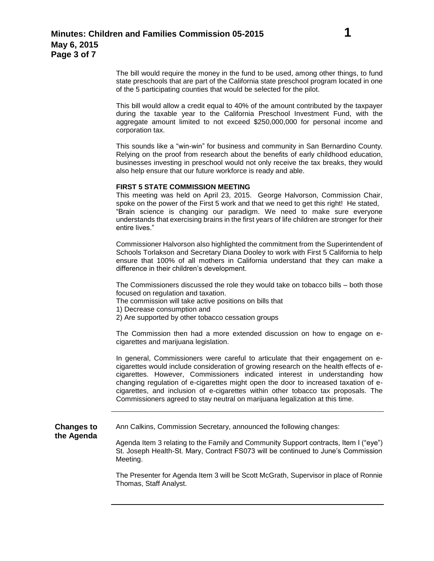This bill would allow a credit equal to 40% of the amount contributed by the taxpayer during the taxable year to the California Preschool Investment Fund, with the aggregate amount limited to not exceed \$250,000,000 for personal income and corporation tax.

of the 5 participating counties that would be selected for the pilot.

This sounds like a "win-win" for business and community in San Bernardino County. Relying on the proof from research about the benefits of early childhood education, businesses investing in preschool would not only receive the tax breaks, they would also help ensure that our future workforce is ready and able.

# **FIRST 5 STATE COMMISSION MEETING**

This meeting was held on April 23, 2015. George Halvorson, Commission Chair, spoke on the power of the First 5 work and that we need to get this right! He stated, "Brain science is changing our paradigm. We need to make sure everyone understands that exercising brains in the first years of life children are stronger for their entire lives."

Commissioner Halvorson also highlighted the commitment from the Superintendent of Schools Torlakson and Secretary Diana Dooley to work with First 5 California to help ensure that 100% of all mothers in California understand that they can make a difference in their children's development.

The Commissioners discussed the role they would take on tobacco bills – both those focused on regulation and taxation.

The commission will take active positions on bills that

1) Decrease consumption and

2) Are supported by other tobacco cessation groups

The Commission then had a more extended discussion on how to engage on ecigarettes and marijuana legislation.

In general, Commissioners were careful to articulate that their engagement on ecigarettes would include consideration of growing research on the health effects of ecigarettes. However, Commissioners indicated interest in understanding how changing regulation of e-cigarettes might open the door to increased taxation of ecigarettes, and inclusion of e-cigarettes within other tobacco tax proposals. The Commissioners agreed to stay neutral on marijuana legalization at this time.

**Changes to the Agenda**

Ann Calkins, Commission Secretary, announced the following changes:

Agenda Item 3 relating to the Family and Community Support contracts, Item I ("eye") St. Joseph Health-St. Mary, Contract FS073 will be continued to June's Commission Meeting.

The Presenter for Agenda Item 3 will be Scott McGrath, Supervisor in place of Ronnie Thomas, Staff Analyst.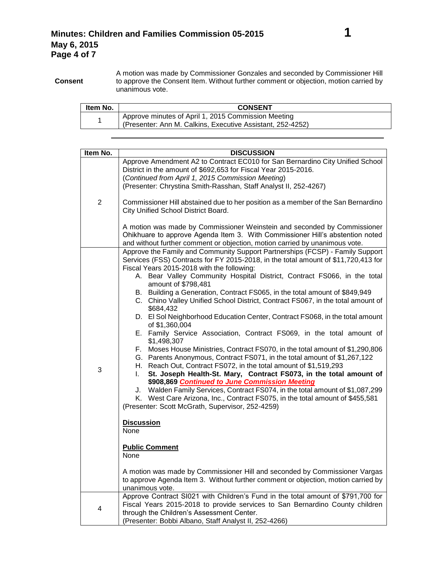**Consent** A motion was made by Commissioner Gonzales and seconded by Commissioner Hill to approve the Consent Item. Without further comment or objection, motion carried by unanimous vote.

| Item No. | <b>CONSENT</b>                                                                                                    |
|----------|-------------------------------------------------------------------------------------------------------------------|
|          | Approve minutes of April 1, 2015 Commission Meeting<br>(Presenter: Ann M. Calkins, Executive Assistant, 252-4252) |

| Item No.       | <b>DISCUSSION</b>                                                                                                        |
|----------------|--------------------------------------------------------------------------------------------------------------------------|
|                | Approve Amendment A2 to Contract EC010 for San Bernardino City Unified School                                            |
|                | District in the amount of \$692,653 for Fiscal Year 2015-2016.                                                           |
|                | (Continued from April 1, 2015 Commission Meeting)                                                                        |
|                | (Presenter: Chrystina Smith-Rasshan, Staff Analyst II, 252-4267)                                                         |
|                |                                                                                                                          |
| $\overline{2}$ | Commissioner Hill abstained due to her position as a member of the San Bernardino<br>City Unified School District Board. |
|                | A motion was made by Commissioner Weinstein and seconded by Commissioner                                                 |
|                | Ohikhuare to approve Agenda Item 3. With Commissioner Hill's abstention noted                                            |
|                | and without further comment or objection, motion carried by unanimous vote.                                              |
|                | Approve the Family and Community Support Partnerships (FCSP) - Family Support                                            |
|                | Services (FSS) Contracts for FY 2015-2018, in the total amount of \$11,720,413 for                                       |
|                | Fiscal Years 2015-2018 with the following:                                                                               |
|                | A. Bear Valley Community Hospital District, Contract FS066, in the total                                                 |
|                | amount of \$798,481                                                                                                      |
|                | B. Building a Generation, Contract FS065, in the total amount of \$849,949                                               |
|                | C. Chino Valley Unified School District, Contract FS067, in the total amount of                                          |
|                | \$684,432                                                                                                                |
|                | D. El Sol Neighborhood Education Center, Contract FS068, in the total amount                                             |
|                | of \$1,360,004                                                                                                           |
|                | E. Family Service Association, Contract FS069, in the total amount of<br>\$1,498,307                                     |
|                | F. Moses House Ministries, Contract FS070, in the total amount of \$1,290,806                                            |
|                | G. Parents Anonymous, Contract FS071, in the total amount of \$1,267,122                                                 |
| 3              | H. Reach Out, Contract FS072, in the total amount of \$1,519,293                                                         |
|                | St. Joseph Health-St. Mary, Contract FS073, in the total amount of<br>L.                                                 |
|                | \$908,869 Continued to June Commission Meeting                                                                           |
|                | J. Walden Family Services, Contract FS074, in the total amount of \$1,087,299                                            |
|                | K. West Care Arizona, Inc., Contract FS075, in the total amount of \$455,581                                             |
|                | (Presenter: Scott McGrath, Supervisor, 252-4259)                                                                         |
|                |                                                                                                                          |
|                | <b>Discussion</b>                                                                                                        |
|                | None                                                                                                                     |
|                | <b>Public Comment</b>                                                                                                    |
|                | None                                                                                                                     |
|                |                                                                                                                          |
|                | A motion was made by Commissioner Hill and seconded by Commissioner Vargas                                               |
|                | to approve Agenda Item 3. Without further comment or objection, motion carried by                                        |
|                | unanimous vote.                                                                                                          |
| 4              | Approve Contract SI021 with Children's Fund in the total amount of \$791,700 for                                         |
|                | Fiscal Years 2015-2018 to provide services to San Bernardino County children                                             |
|                | through the Children's Assessment Center.                                                                                |
|                | (Presenter: Bobbi Albano, Staff Analyst II, 252-4266)                                                                    |
|                |                                                                                                                          |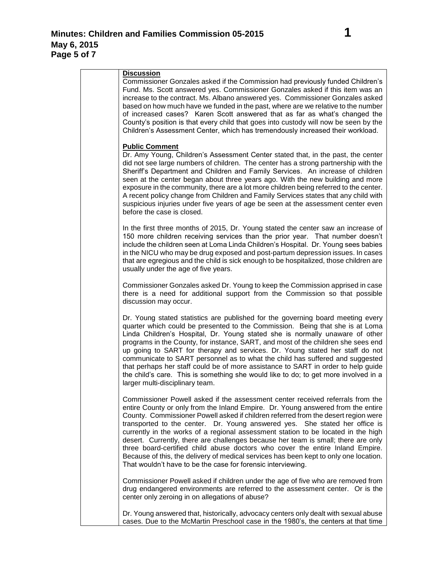| <b>Discussion</b><br>Commissioner Gonzales asked if the Commission had previously funded Children's<br>Fund. Ms. Scott answered yes. Commissioner Gonzales asked if this item was an<br>increase to the contract. Ms. Albano answered yes. Commissioner Gonzales asked<br>based on how much have we funded in the past, where are we relative to the number<br>of increased cases? Karen Scott answered that as far as what's changed the<br>County's position is that every child that goes into custody will now be seen by the<br>Children's Assessment Center, which has tremendously increased their workload.                                                                                                                                         |
|-------------------------------------------------------------------------------------------------------------------------------------------------------------------------------------------------------------------------------------------------------------------------------------------------------------------------------------------------------------------------------------------------------------------------------------------------------------------------------------------------------------------------------------------------------------------------------------------------------------------------------------------------------------------------------------------------------------------------------------------------------------|
| <b>Public Comment</b><br>Dr. Amy Young, Children's Assessment Center stated that, in the past, the center<br>did not see large numbers of children. The center has a strong partnership with the<br>Sheriff's Department and Children and Family Services. An increase of children<br>seen at the center began about three years ago. With the new building and more<br>exposure in the community, there are a lot more children being referred to the center.<br>A recent policy change from Children and Family Services states that any child with<br>suspicious injuries under five years of age be seen at the assessment center even<br>before the case is closed.                                                                                    |
| In the first three months of 2015, Dr. Young stated the center saw an increase of<br>150 more children receiving services than the prior year. That number doesn't<br>include the children seen at Loma Linda Children's Hospital. Dr. Young sees babies<br>in the NICU who may be drug exposed and post-partum depression issues. In cases<br>that are egregious and the child is sick enough to be hospitalized, those children are<br>usually under the age of five years.                                                                                                                                                                                                                                                                               |
| Commissioner Gonzales asked Dr. Young to keep the Commission apprised in case<br>there is a need for additional support from the Commission so that possible<br>discussion may occur.                                                                                                                                                                                                                                                                                                                                                                                                                                                                                                                                                                       |
| Dr. Young stated statistics are published for the governing board meeting every<br>quarter which could be presented to the Commission. Being that she is at Loma<br>Linda Children's Hospital, Dr. Young stated she is normally unaware of other<br>programs in the County, for instance, SART, and most of the children she sees end<br>up going to SART for therapy and services. Dr. Young stated her staff do not<br>communicate to SART personnel as to what the child has suffered and suggested<br>that perhaps her staff could be of more assistance to SART in order to help guide<br>the child's care. This is something she would like to do; to get more involved in a<br>larger multi-disciplinary team.                                       |
| Commissioner Powell asked if the assessment center received referrals from the<br>entire County or only from the Inland Empire. Dr. Young answered from the entire<br>County. Commissioner Powell asked if children referred from the desert region were<br>transported to the center. Dr. Young answered yes. She stated her office is<br>currently in the works of a regional assessment station to be located in the high<br>desert. Currently, there are challenges because her team is small; there are only<br>three board-certified child abuse doctors who cover the entire Inland Empire.<br>Because of this, the delivery of medical services has been kept to only one location.<br>That wouldn't have to be the case for forensic interviewing. |
| Commissioner Powell asked if children under the age of five who are removed from<br>drug endangered environments are referred to the assessment center. Or is the<br>center only zeroing in on allegations of abuse?                                                                                                                                                                                                                                                                                                                                                                                                                                                                                                                                        |
| Dr. Young answered that, historically, advocacy centers only dealt with sexual abuse<br>cases. Due to the McMartin Preschool case in the 1980's, the centers at that time                                                                                                                                                                                                                                                                                                                                                                                                                                                                                                                                                                                   |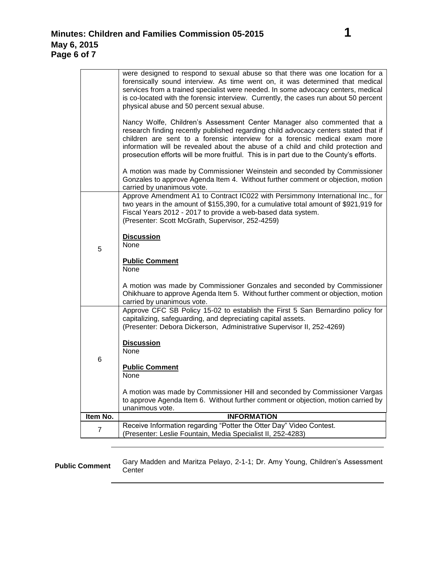|                | were designed to respond to sexual abuse so that there was one location for a<br>forensically sound interview. As time went on, it was determined that medical                                                                                                                                                                                                                                                              |
|----------------|-----------------------------------------------------------------------------------------------------------------------------------------------------------------------------------------------------------------------------------------------------------------------------------------------------------------------------------------------------------------------------------------------------------------------------|
|                | services from a trained specialist were needed. In some advocacy centers, medical                                                                                                                                                                                                                                                                                                                                           |
|                | is co-located with the forensic interview. Currently, the cases run about 50 percent                                                                                                                                                                                                                                                                                                                                        |
|                | physical abuse and 50 percent sexual abuse.                                                                                                                                                                                                                                                                                                                                                                                 |
|                | Nancy Wolfe, Children's Assessment Center Manager also commented that a<br>research finding recently published regarding child advocacy centers stated that if<br>children are sent to a forensic interview for a forensic medical exam more<br>information will be revealed about the abuse of a child and child protection and<br>prosecution efforts will be more fruitful. This is in part due to the County's efforts. |
|                | A motion was made by Commissioner Weinstein and seconded by Commissioner<br>Gonzales to approve Agenda Item 4. Without further comment or objection, motion<br>carried by unanimous vote.                                                                                                                                                                                                                                   |
|                | Approve Amendment A1 to Contract IC022 with Persimmony International Inc., for                                                                                                                                                                                                                                                                                                                                              |
|                | two years in the amount of \$155,390, for a cumulative total amount of \$921,919 for                                                                                                                                                                                                                                                                                                                                        |
|                | Fiscal Years 2012 - 2017 to provide a web-based data system.<br>(Presenter: Scott McGrath, Supervisor, 252-4259)                                                                                                                                                                                                                                                                                                            |
|                |                                                                                                                                                                                                                                                                                                                                                                                                                             |
|                | <b>Discussion</b>                                                                                                                                                                                                                                                                                                                                                                                                           |
| 5              | None                                                                                                                                                                                                                                                                                                                                                                                                                        |
|                | <b>Public Comment</b><br>None                                                                                                                                                                                                                                                                                                                                                                                               |
|                | A motion was made by Commissioner Gonzales and seconded by Commissioner                                                                                                                                                                                                                                                                                                                                                     |
|                | Ohikhuare to approve Agenda Item 5. Without further comment or objection, motion                                                                                                                                                                                                                                                                                                                                            |
|                | carried by unanimous vote.                                                                                                                                                                                                                                                                                                                                                                                                  |
|                | Approve CFC SB Policy 15-02 to establish the First 5 San Bernardino policy for<br>capitalizing, safeguarding, and depreciating capital assets.<br>(Presenter: Debora Dickerson, Administrative Supervisor II, 252-4269)                                                                                                                                                                                                     |
|                | <b>Discussion</b>                                                                                                                                                                                                                                                                                                                                                                                                           |
|                | <b>None</b>                                                                                                                                                                                                                                                                                                                                                                                                                 |
| 6              |                                                                                                                                                                                                                                                                                                                                                                                                                             |
|                | <b>Public Comment</b><br>None                                                                                                                                                                                                                                                                                                                                                                                               |
|                | A motion was made by Commissioner Hill and seconded by Commissioner Vargas                                                                                                                                                                                                                                                                                                                                                  |
|                | to approve Agenda Item 6. Without further comment or objection, motion carried by                                                                                                                                                                                                                                                                                                                                           |
| Item No.       | unanimous vote.<br><b>INFORMATION</b>                                                                                                                                                                                                                                                                                                                                                                                       |
|                | Receive Information regarding "Potter the Otter Day" Video Contest.                                                                                                                                                                                                                                                                                                                                                         |
| $\overline{7}$ | (Presenter: Leslie Fountain, Media Specialist II, 252-4283)                                                                                                                                                                                                                                                                                                                                                                 |

**Public Comment** Gary Madden and Maritza Pelayo, 2-1-1; Dr. Amy Young, Children's Assessment<br>Center